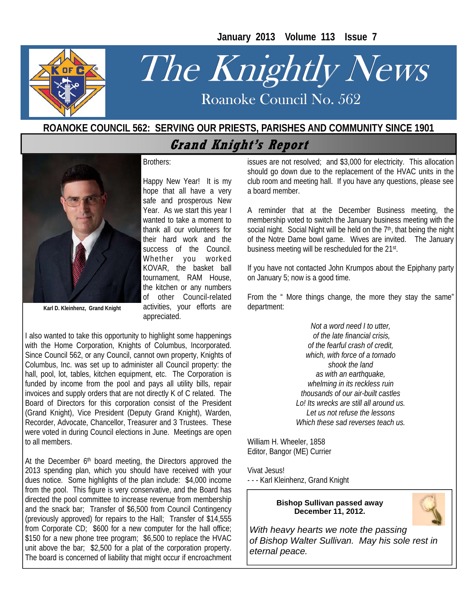**January 2013 Volume 113 Issue 7** 



# The Knightly News

Roanoke Council No. 562 Roanoke Council No. 562

## **ROANOKE COUNCIL 562: SERVING OUR PRIESTS, PARISHES AND COMMUNITY SINCE 1901 Grand Knight's Report**



Brothers:

Happy New Year! It is my hope that all have a very safe and prosperous New Year. As we start this year I wanted to take a moment to thank all our volunteers for their hard work and the success of the Council. Whether you worked KOVAR, the basket ball tournament, RAM House, the kitchen or any numbers of other Council-related activities, your efforts are appreciated.

**Karl D. Kleinhenz, Grand Knight** 

I also wanted to take this opportunity to highlight some happenings with the Home Corporation, Knights of Columbus, Incorporated. Since Council 562, or any Council, cannot own property, Knights of Columbus, Inc. was set up to administer all Council property: the hall, pool, lot, tables, kitchen equipment, etc. The Corporation is funded by income from the pool and pays all utility bills, repair invoices and supply orders that are not directly K of C related. The Board of Directors for this corporation consist of the President (Grand Knight), Vice President (Deputy Grand Knight), Warden, Recorder, Advocate, Chancellor, Treasurer and 3 Trustees. These were voted in during Council elections in June. Meetings are open to all members.

At the December 6<sup>th</sup> board meeting, the Directors approved the 2013 spending plan, which you should have received with your dues notice. Some highlights of the plan include: \$4,000 income from the pool. This figure is very conservative, and the Board has directed the pool committee to increase revenue from membership and the snack bar; Transfer of \$6,500 from Council Contingency (previously approved) for repairs to the Hall; Transfer of \$14,555 from Corporate CD; \$600 for a new computer for the hall office; \$150 for a new phone tree program; \$6,500 to replace the HVAC unit above the bar; \$2,500 for a plat of the corporation property. The board is concerned of liability that might occur if encroachment

issues are not resolved; and \$3,000 for electricity. This allocation should go down due to the replacement of the HVAC units in the club room and meeting hall. If you have any questions, please see a board member.

A reminder that at the December Business meeting, the membership voted to switch the January business meeting with the social night. Social Night will be held on the 7<sup>th</sup>, that being the night of the Notre Dame bowl game. Wives are invited. The January business meeting will be rescheduled for the 21st.

If you have not contacted John Krumpos about the Epiphany party on January 5; now is a good time.

From the " More things change, the more they stay the same" department:

> *Not a word need I to utter, of the late financial crisis, of the fearful crash of credit, which, with force of a tornado shook the land as with an earthquake, whelming in its reckless ruin thousands of our air-built castles Lo! Its wrecks are still all around us. Let us not refuse the lessons Which these sad reverses teach us.*

William H. Wheeler, 1858 Editor, Bangor (ME) Currier

Vivat Jesus! - - - Karl Kleinhenz, Grand Knight

#### **Bishop Sullivan passed away December 11, 2012.**



*With heavy hearts we note the passing of Bishop Walter Sullivan. May his sole rest in eternal peace.*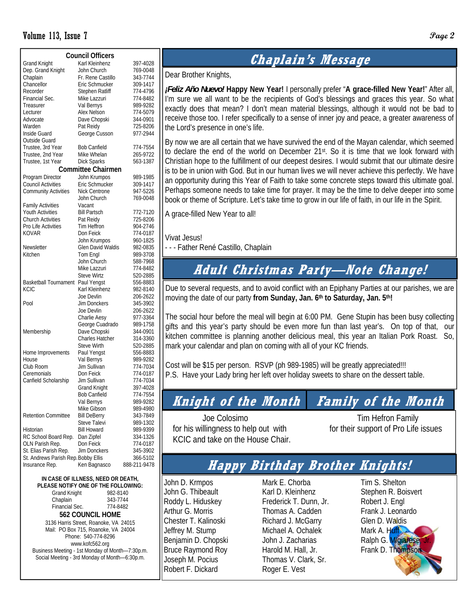#### Volume 113, Issue 7 **Page 2**

|                                                              | <b>Council Officers</b>   |              |
|--------------------------------------------------------------|---------------------------|--------------|
| <b>Grand Knight</b>                                          | Karl Kleinhenz            | 397-4028     |
| Dep. Grand Knight                                            | John Church               | 769-0048     |
| Chaplain                                                     | Fr. Rene Castillo         | 343-7744     |
| Chancellor                                                   | Eric Schmucker            | 309-1417     |
| Recorder                                                     | <b>Stephen Ratliff</b>    | 774-4796     |
| Financial Sec.                                               | Mike Lazzuri              | 774-8482     |
|                                                              |                           |              |
| Treasurer                                                    | Val Bernys                | 989-9282     |
| Lecturer                                                     | Alex Nelson               | 774-5079     |
| Advocate                                                     | Dave Chopski              | 344-0901     |
| Warden                                                       | Pat Reidy                 | 725-8206     |
| Inside Guard                                                 | George Cusson             | 977-2944     |
| Outside Guard                                                |                           |              |
| Trustee, 3rd Year                                            | <b>Bob Canfield</b>       | 774-7554     |
| Trustee, 2nd Year                                            | Mike Whelan               | 265-9722     |
| Trustee, 1st Year                                            | <b>Dick Sparks</b>        | 563-1387     |
|                                                              | <b>Committee Chairmen</b> |              |
| Program Director                                             | John Krumpos              | 989-1985     |
| <b>Council Activities</b>                                    | Eric Schmucker            | 309-1417     |
| <b>Community Activities</b>                                  | Nick Centrone             | 947-5226     |
|                                                              | John Church               | 769-0048     |
| <b>Family Activities</b>                                     | Vacant                    |              |
| <b>Youth Activities</b>                                      | <b>Bill Partsch</b>       | 772-7120     |
| <b>Church Activities</b>                                     | Pat Reidy                 | 725-8206     |
| Pro Life Activities                                          | Tim Heffron               | 904-2746     |
| <b>KOVAR</b>                                                 | Don Feick                 | 774-0187     |
|                                                              |                           |              |
|                                                              | John Krumpos              | 960-1825     |
| Newsletter                                                   | Glen David Waldis         | 982-0835     |
| Kitchen                                                      | Tom Engl                  | 989-3708     |
|                                                              | John Church               | 588-7968     |
|                                                              | Mike Lazzuri              | 774-8482     |
|                                                              | <b>Steve Wirtz</b>        | 520-2885     |
| <b>Basketball Tournament</b>                                 | Paul Yengst               | 556-8883     |
| <b>KCIC</b>                                                  | Karl Kleinhenz            | 982-8140     |
|                                                              | Joe Devlin                | 206-2622     |
| Pool                                                         | Jim Donckers              | 345-3902     |
|                                                              | Joe Devlin                | 206-2622     |
|                                                              | Charlie Aesy              | 977-3364     |
|                                                              | George Cuadrado           | 989-1758     |
| Membership                                                   | Dave Chopski              | 344-0901     |
|                                                              | <b>Charles Hatcher</b>    | 314-3360     |
|                                                              | <b>Steve Wirth</b>        | 520-2885     |
| Home Improvements                                            | Paul Yengst               | 556-8883     |
| House                                                        | Val Bernys                | 989-9282     |
| Club Room                                                    | Jim Sullivan              | 774-7034     |
| Ceremonials                                                  | Don Feick                 | 774-0187     |
| Canfield Scholarship                                         | Jim Sullivan              | 774-7034     |
|                                                              | Grand Knight              | 397-4028     |
|                                                              | <b>Bob Canfield</b>       | 774-7554     |
|                                                              | Val Bernys                | 989-9282     |
|                                                              | Mike Gibson               | 989-4980     |
| <b>Retention Committee</b>                                   | <b>Bill DeBerry</b>       | 343-7849     |
|                                                              | Steve Talevi              | 989-1302     |
| Historian                                                    | <b>Bill Howard</b>        | 989-9399     |
| RC School Board Rep.                                         |                           | 334-1326     |
| OLN Parish Rep.                                              | Dan Zipfel<br>Don Feick   |              |
|                                                              |                           | 774-0187     |
| St. Elias Parish Rep.<br>St. Andrews Parish Rep. Bobby Ellis | Jim Donckers              | 345-3902     |
|                                                              |                           | 366-5102     |
| Insurance Rep.                                               | Ken Bagnasco              | 888-211-9478 |

**IN CASE OF ILLNESS, NEED OR DEATH, PLEASE NOTIFY ONE OF THE FOLLOWING:**  Grand Knight 982-8140 Chaplain 343-7744<br>Financial Sec. 774-8482 Financial Sec. **562 COUNCIL HOME**  3136 Harris Street, Roanoke, VA 24015 Mail: PO Box 715, Roanoke, VA 24004 Phone: 540-774-8296 www.kofc562.org Business Meeting - 1st Monday of Month—7:30p.m. Social Meeting - 3rd Monday of Month—6:30p.m.

## **Chaplain's Message**

Dear Brother Knights,

*¡Feliz Año Nuevo!* **Happy New Year!** I personally prefer "**A grace-filled New Year!**" After all, I'm sure we all want to be the recipients of God's blessings and graces this year. So what exactly does that mean? I don't mean material blessings, although it would not be bad to receive those too. I refer specifically to a sense of inner joy and peace, a greater awareness of the Lord's presence in one's life.

By now we are all certain that we have survived the end of the Mayan calendar, which seemed to declare the end of the world on December 21st. So it is time that we look forward with Christian hope to the fulfillment of our deepest desires. I would submit that our ultimate desire is to be in union with God. But in our human lives we will never achieve this perfectly. We have an opportunity during this Year of Faith to take some concrete steps toward this ultimate goal. Perhaps someone needs to take time for prayer. It may be the time to delve deeper into some book or theme of Scripture. Let's take time to grow in our life of faith, in our life in the Spirit.

A grace-filled New Year to all!

Vivat Jesus!

- - - Father René Castillo, Chaplain

## **Adult Christmas Party—Note Change!**

Due to several requests, and to avoid conflict with an Epiphany Parties at our parishes, we are moving the date of our party **from Sunday, Jan. 6th to Saturday, Jan. 5th!** 

The social hour before the meal will begin at 6:00 PM. Gene Stupin has been busy collecting gifts and this year's party should be even more fun than last year's. On top of that, our kitchen committee is planning another delicious meal, this year an Italian Pork Roast. So, mark your calendar and plan on coming with all of your KC friends.

Cost will be \$15 per person. RSVP (ph 989-1985) will be greatly appreciated!!! P.S. Have your Lady bring her left over holiday sweets to share on the dessert table.

## **Knight of the Month Family of the Month**

 Joe Colosimo Tim Hefron Family for his willingness to help out with for their support of Pro Life issues KCIC and take on the House Chair.

## **Happy Birthday Brother Knights!**

John D. Krmpos John G. Thibeault Roddy L. Hiduskey Arthur G. Morris Chester T. Kalinoski Jeffrey M. Stump Benjamin D. Chopski Bruce Raymond Roy Joseph M. Pocius Robert F. Dickard

Mark E. Chorba Karl D. Kleinhenz Frederick T. Dunn, Jr. Thomas A. Cadden Richard J. McGarry Michael A. Ochalek John J. Zacharias Harold M. Hall, Jr. Thomas V. Clark, Sr. Roger E. Vest

Tim S. Shelton Stephen R. Boisvert Robert J. Engl Frank J. Leonardo Glen D. Waldis Mark A. Huff Ralph G. Migiarese Frank D. Thompson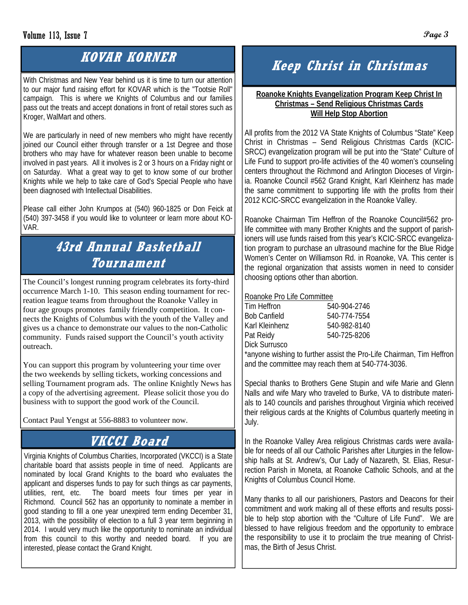# **KOVAR KORNER**

With Christmas and New Year behind us it is time to turn our attention to our major fund raising effort for KOVAR which is the "Tootsie Roll" campaign. This is where we Knights of Columbus and our families pass out the treats and accept donations in front of retail stores such as Kroger, WalMart and others.

We are particularly in need of new members who might have recently joined our Council either through transfer or a 1st Degree and those brothers who may have for whatever reason been unable to become involved in past years. All it involves is 2 or 3 hours on a Friday night or on Saturday. What a great way to get to know some of our brother Knights while we help to take care of God's Special People who have been diagnosed with Intellectual Disabilities.

Please call either John Krumpos at (540) 960-1825 or Don Feick at (540) 397-3458 if you would like to volunteer or learn more about KO-VAR.

# **43rd Annual Basketball Tournament**

The Council's longest running program celebrates its forty-third occurrence March 1-10. This season ending tournament for recreation league teams from throughout the Roanoke Valley in four age groups promotes family friendly competition. It connects the Knights of Columbus with the youth of the Valley and gives us a chance to demonstrate our values to the non-Catholic community. Funds raised support the Council's youth activity outreach.

You can support this program by volunteering your time over the two weekends by selling tickets, working concessions and selling Tournament program ads. The online Knightly News has a copy of the advertising agreement. Please solicit those you do business with to support the good work of the Council.

Contact Paul Yengst at 556-8883 to volunteer now.

# **VKCCI Board**

Virginia Knights of Columbus Charities, Incorporated (VKCCI) is a State charitable board that assists people in time of need. Applicants are nominated by local Grand Knights to the board who evaluates the applicant and disperses funds to pay for such things as car payments, utilities, rent, etc. The board meets four times per year in Richmond. Council 562 has an opportunity to nominate a member in good standing to fill a one year unexpired term ending December 31, 2013, with the possibility of election to a full 3 year term beginning in 2014. I would very much like the opportunity to nominate an individual from this council to this worthy and needed board. If you are interested, please contact the Grand Knight.

# **Keep Christ in Christmas**

#### **Roanoke Knights Evangelization Program Keep Christ In Christmas – Send Religious Christmas Cards Will Help Stop Abortion**

All profits from the 2012 VA State Knights of Columbus "State" Keep Christ in Christmas – Send Religious Christmas Cards (KCIC-SRCC) evangelization program will be put into the "State" Culture of Life Fund to support pro-life activities of the 40 women's counseling centers throughout the Richmond and Arlington Dioceses of Virginia. Roanoke Council #562 Grand Knight, Karl Kleinhenz has made the same commitment to supporting life with the profits from their 2012 KCIC-SRCC evangelization in the Roanoke Valley.

Roanoke Chairman Tim Heffron of the Roanoke Council#562 prolife committee with many Brother Knights and the support of parishioners will use funds raised from this year's KCIC-SRCC evangelization program to purchase an ultrasound machine for the Blue Ridge Women's Center on Williamson Rd. in Roanoke, VA. This center is the regional organization that assists women in need to consider choosing options other than abortion.

#### Roanoke Pro Life Committee

| Tim Heffron    | 540-904-2746 |
|----------------|--------------|
| Bob Canfield   | 540-774-7554 |
| Karl Kleinhenz | 540-982-8140 |
| Pat Reidy      | 540-725-8206 |
| Dick Surrusco  |              |

\*anyone wishing to further assist the Pro-Life Chairman, Tim Heffron and the committee may reach them at 540-774-3036.

Special thanks to Brothers Gene Stupin and wife Marie and Glenn Nalls and wife Mary who traveled to Burke, VA to distribute materials to 140 councils and parishes throughout Virginia which received their religious cards at the Knights of Columbus quarterly meeting in July.

In the Roanoke Valley Area religious Christmas cards were available for needs of all our Catholic Parishes after Liturgies in the fellowship halls at St. Andrew's, Our Lady of Nazareth, St. Elias, Resurrection Parish in Moneta, at Roanoke Catholic Schools, and at the Knights of Columbus Council Home.

Many thanks to all our parishioners, Pastors and Deacons for their commitment and work making all of these efforts and results possible to help stop abortion with the "Culture of Life Fund". We are blessed to have religious freedom and the opportunity to embrace the responsibility to use it to proclaim the true meaning of Christmas, the Birth of Jesus Christ.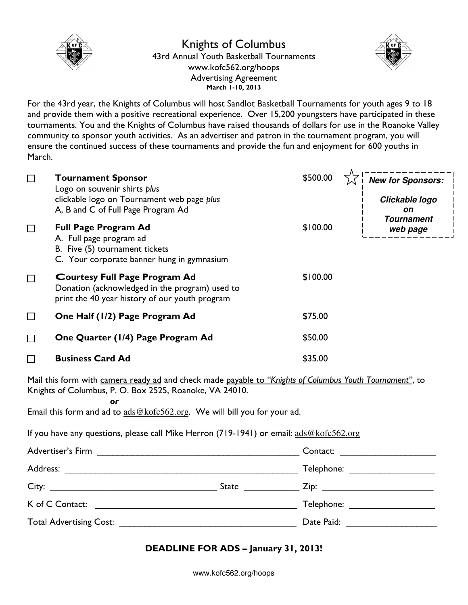

### Knights of Columbus 43rd Annual Youth Basketball Tournaments www.kofc562.org/hoops Advertising Agreement March 1-10, 2013



For the 43rd year, the Knights of Columbus will host Sandlot Basketball Tournaments for youth ages 9 to 18 and provide them with a positive recreational experience. Over 15,200 youngsters have participated in these tournaments. You and the Knights of Columbus have raised thousands of dollars for use in the Roanoke Valley community to sponsor youth activities. As an advertiser and patron in the tournament program, you will ensure the continued success of these tournaments and provide the fun and enjoyment for 600 youths in March.

| $\Box$ | <b>Tournament Sponsor</b><br>Logo on souvenir shirts plus<br>clickable logo on Tournament web page plus<br>A, B and C of Full Page Program Ad | \$500.00 | <b>New for Sponsors:</b><br>Clickable logo<br>on |
|--------|-----------------------------------------------------------------------------------------------------------------------------------------------|----------|--------------------------------------------------|
| $\Box$ | <b>Full Page Program Ad</b><br>A. Full page program ad<br>B. Five (5) tournament tickets<br>C. Your corporate banner hung in gymnasium        | \$100.00 | <b>Tournament</b><br>web page                    |
| $\Box$ | <b>Courtesy Full Page Program Ad</b><br>Donation (acknowledged in the program) used to<br>print the 40 year history of our youth program      | \$100.00 |                                                  |
| $\Box$ | One Half (1/2) Page Program Ad                                                                                                                | \$75.00  |                                                  |
| П      | One Quarter (1/4) Page Program Ad                                                                                                             | \$50.00  |                                                  |
| П      | <b>Business Card Ad</b>                                                                                                                       | \$35.00  |                                                  |

Mail this form with camera ready ad and check made payable to "Knights of Columbus Youth Tournament", to Knights of Columbus, P. O. Box 2525, Roanoke, VA 24010.

or

Email this form and ad to ads@kofc562.org. We will bill you for your ad.

If you have any questions, please call Mike Herron (719-1941) or email: ads@kofc562.org

| Advertiser's Firm                                                                                                           |       | Contact:                                                                                                       |
|-----------------------------------------------------------------------------------------------------------------------------|-------|----------------------------------------------------------------------------------------------------------------|
| Address:<br>the contract of the contract of the contract of the contract of the contract of the contract of the contract of |       | Telephone: __________________                                                                                  |
|                                                                                                                             | State | Zip: ____________________________                                                                              |
| K of C Contact:                                                                                                             |       | Telephone: ____________________                                                                                |
| Total Advertising Cost: National Advertising Cost:                                                                          |       | Date Paid: The Contract of the Contract of the Contract of the Contract of the Contract of the Contract of the |

## DEADLINE FOR ADS – January 31, 2013!